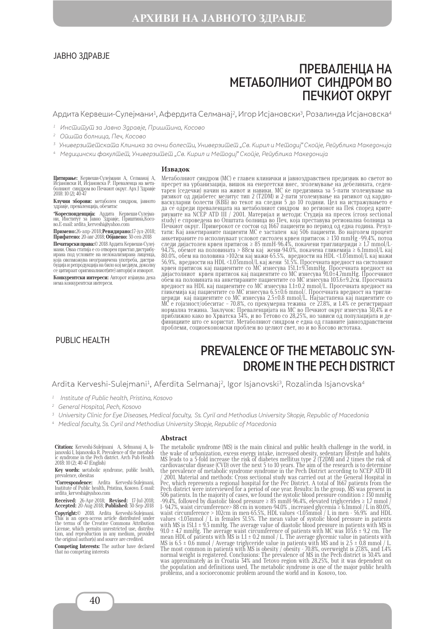#### ЈАВНО ЗДРАВЈЕ

# ПРЕВАЛЕНЦА НА МЕТАБОЛНИОТ СИНДРОМ ВО ПЕЧКИОТ ОКРУГ

Ардита Кервеши-Сулејмани<sup>1</sup>, Афердита Селманај<sup>2</sup>, Игор Исјановски<sup>3</sup>, Розалинда Исјановска<sup>4</sup>

- 1 Институт за Јавно Здравје, Приштина, Косово
- <sup>2</sup> Ойшша болница, Печ, Косово
- $^3\,$  Универзи $\bar{{\rm u}}$ е $\bar{{\rm u}}$ ска $\bar{{\rm u}}$ а Клиника за очни болес $\bar{{\rm u}}$ и, Универзи $\bar{{\rm u}}$ е $\bar{{\rm u}}$ ,Св. Кирил и Ме $\bar{{\rm u}}$ одиј" Ско $\bar{{\rm u}}$ је, Ре $\bar{{\rm u}}$ ублика Македонија
- 4 Медицински факултет, Универзитет "Св. Кирил и Методиј" Скопје, Република Македонија

#### **Извадок**

**Цитирање:** Кервеши-Сулејмани А, Селманај А,<br>Исјановски И, Исјановска Р. Преваленца на мета-<br>болниот синдром во Печкиот округ. Арх Ј Здравје<br>2018: 10 (2); 40-47

**Клучни зборови:** метаболен синдром, јавното здравје, преваленција, обезитас

**\*Кореспонденција:** Ардита Кервеши-Сулејма- ни, Институт за Јавно Здравје, Приштина,Косо- во.Е-mail: ardita\_kerveshi@yahoo.com

**Примено:**26-апр-2018;**Ревидирано:**17-јул-2018; **Прифатено:** 20-авг-2018; **Објавено:** 30-сеп-2018

**Печатарски права:**© 2018 Ардита Кервеши-Сулејмани. Оваа статија е со отворен пристап дистрибуирана под условите на нелокализирана лиценца, која овозможува неограничена употреба, дистрибуција и репродукција на било кој медиум, доколку се цитираат оригиналниот(ите) автор(и) и изворот. **Конкурентски интереси:** Авторот изјавува дека

нема конкурентски интереси.

### PUBLIC HEALTH

Метаболниот синдром (МС) е главен клинички и јавноздравствен предизвик во светот во пресрет на урбанизација, вишок на енергетски внес, зголемување на дебелината, седентарен (седечки) начин на живот и навики. МС ќе предизвика за 5-пати зголемување на ризикот од дијабетес мелитус тип 2 (T2DM) и 2-пати зголемување на ризикот од кардиоваскуларни болести (КВБ) во текот на следни 5 до 10 години. Цел на истражувањето е да се одреди преваленцата на метаболниот синдром во регионот на Пеќ според критериумите на NCEP ATD III / 2001. Материјал и методи: Студија на пресек (cross sectional study) е спроведена во Општата болница во Печ, која преставува регионална болница за Печкиот округ. Примерокот се состои од 1667 пациенти во период од една година. Резултати: Кај анкетираните пациенти МС е застапен кај 506 пациенти. Во најголем процент анкетираните го исполнуваат условот систолен крвен притисок ≥ 130 mmHg -99.4%, потоа следи дијастолен крвен притисок ≥ 85 mmH-96.4%, покачени триглицериди ≥ 1.7 mmol/L-94.7%, обемот на половината > 88см кај жени-94.0%, покачена гликемија ≥ 6.1mmol/L кај 80.0%, обем на половина >102см кај мажи-65.5%, вредности на HDL <1.03mmol/L кај мажи 56.9%, вредности на HDL <1.03mmol/L кај жени 51.5%. Просечната вредност на систолниот крвен притисок кај пациентите со МС изнесува 151.1±9.3mmHg. Просечната вредност на дијастолниот крвен притисок кај пациентите со МС изнесува 91.0±4.7mmHg. Просечниот обем на половината на анкетираните пациентите со МС изнесува 103.6±9.2см. Просечната вредност на HDL кај пациентите со МС изнесува 1.1±0.2 mmol/L. Просечната вредност на гликемија кај пациентите со МС изнесува 6.5±0.6 mmol/. Просечната вредност на триглицериди кај пациентите со МС изнесува 2.5±0.8 mmol/L. Најзастапена каj пациентите со МС е гојазност/обеситас – 70.8%, со прекумерна тежина се 27.8%, и 1.4% се регистрираат нормална тежина. Заклучок: Преваленцијата на МС во Печкиот округ изнесува 30,4% и е приближно како во Хрватска 34%, и во Тетово со 28,25%, но зависи од популацијата и дефинициите што се користат. Метаболниот синдром е една од главните јавноздравствени проблеми, социоекономски проблем во целиот свет, но и во Косово истотака.

# PREVALENCE OF THE METABOLIC SYN-DROME IN THE PECH DISTRICT

Ardita Kerveshi-Sulejmani<sup>1</sup>, Aferdita Selmanaj<sup>2</sup>, Igor Isjanovski<sup>3</sup>, Rozalinda Isjanovska<sup>4</sup>

- 1 Institute of Public health, Pristina, Kosovo
- 2 General Hospital, Pech, Kosovo
- 3 University Clinic for Eye Diseases, Medical faculty, Ss. Cyril and Methodius University Skopje, Republic of Macedonia
- 4 Medical faculty, Ss. Cyril and Methodius University Skopje, Republic of Macedonia

#### **Abstract**

**Citation:** Kerveshi-Sulejmani А, Selmanaj А, Is-janovski I, Isjanovska R. Prevalence of the metabol-ic syndrome in the Pech district. Arch Pub Health 2018: 10 (2); 40-47 (English)

**Key words:** мetabolic syndrome, public health, prevalence, obesitas

**\*Correspondence:** Ardita Kerveshi-Sulejmani, Institute of Public health, Pristina, Kosovo. Е-mail: ardita\_kerveshi@yahoo.com

**Received:** 26-Apr-2018; **Revised:** 17-Jul-2018; **Accepted:** 20-Aug-2018; **Published:** 30-Sep-2018 **Copyright:**© 2018. Ardita Kerveshi-Sulejmani. This is an open-access article distributed under the terms of the Creative Commons Attribution License, which permits unrestricted use, distribution, and reproduction in any medium, provided the original author(s) and source are credited.

**Competing Interests:** The author have declared that no competing interests

The metabolic syndrome (MS) is the main clinical and public health challenge in the world, in the wake of urbanization, excess energy intake, increased obesity, sedentary lifestyle and habits. MS leads to a 5-fold increase the risk of diabetes mellitus type 2 (T2DM) and 2 times the risk of cardiovascular disease (CVD) over the next 5 to 10 years. The aim of the research is to determine the prevalence of metabolic syndrome syndrome in the Pech District according to NCEP ATD III / 2001. Material and methods: Cross sectional study was carried out at the General Hospital in Pec, which represents a regional hospital for the Pec District. A total of 1667 patients from the Pech district were interviewed for a period of one year. Results: In the group, MS was present in 506 patients. In the majority of cases, we found the systolic blood pressure condition ≥ 130 mmHg -99.4%, followed by diastolic blood pressure ≥ 85 mmH-96.4%, elevated triglycerides ≥ 1.7 mmol  $\frac{7}{1}$ l- 94.7%, waist circumference> 88 cm in women-94.0% , increased glycemia ≥ 6.1mmol / L in 80.0%, waist circumference > 102cm in men-65.5%, HDL values <1.03mmol / L in men - 56.9% and HDL values <1.03mmol / L in females 51.5%. The mean value of systolic blood pressure in patients with MS is  $151.1 \pm 9.3$  mmHg. The average value of diastolic blood pressure in patients with MS is 91.0  $\pm$  4.7 mmHg. The average waist circumference of patients with MC was 103.6  $\pm$  9.2 cm. The mean HDL of patients with MS is  $1.1 \pm 0.2$  mmol / L. The average glycemic value in patients with MS is  $6.5 \pm 0.6$  mmol / Average triglyceride value in patients with MS and is  $2.5 \pm 0.8$  mmol / L. The most common in patients with MS is obesity / obesity - 70.8%, overweight is 27.8%, and 1.4% normal weight is registered. Conclusions: The prevalence of MS in the Pech district is 30.4% and was approximately as in Croatia 34% and Tetovo region with 28.25%, but it was dependent on the population and definitions used. The metabolic syndrome is one of the major public health problems, and a socioeconomic problem around the world and in Kosovo, too.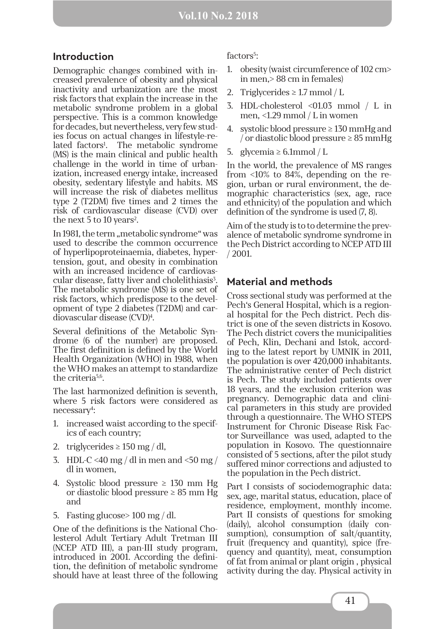## **Vol.10 No.2 2018**

## **Introduction**

Demographic changes combined with increased prevalence of obesity and physical inactivity and urbanization are the most risk factors that explain the increase in the metabolic syndrome problem in a global perspective. This is a common knowledge for decades, but nevertheless, very few studies focus on actual changes in lifestyle-related factors<sup>1</sup>. The metabolic syndrome (MS) is the main clinical and public health challenge in the world in time of urbanization, increased energy intake, increased obesity, sedentary lifestyle and habits. MS will increase the risk of diabetes mellitus type 2 (T2DM) five times and 2 times the risk of cardiovascular disease (CVD) over the next 5 to 10 years<sup>2</sup>.

In 1981, the term "metabolic syndrome" was used to describe the common occurrence of hyperlipoproteinaemia, diabetes, hypertension, gout, and obesity in combination with an increased incidence of cardiovascular disease, fatty liver and cholelithiasis<sup>3</sup>. The metabolic syndrome (MS) is one set of risk factors, which predispose to the development of type 2 diabetes (T2DM) and cardiovascular disease (CVD)4 .

Several definitions of the Metabolic Syndrome (6 of the number) are proposed. The first definition is defined by the World Health Organization (WHO) in 1988, when the WHO makes an attempt to standardize the criteria5,6.

The last harmonized definition is seventh, where 5 risk factors were considered as necessary4 :

- 1. increased waist according to the specifics of each country;
- 2. triglycerides  $\geq 150$  mg / dl,
- 3. HDL-C <40 mg / dl in men and <50 mg / dl in women,
- 4. Systolic blood pressure  $\geq$  130 mm Hg or diastolic blood pressure ≥ 85 mm Hg and
- 5. Fasting glucose> 100 mg / dl.

One of the definitions is the National Cholesterol Adult Tertiary Adult Tretman III (NCEP ATD III), a pan-III study program, introduced in 2001. According the definition, the definition of metabolic syndrome should have at least three of the following factors<sup>5</sup>:

- 1. obesity (waist circumference of 102 cm> in men,> 88 cm in females)
- 2. Triglycerides  $\geq 1.7$  mmol / L
- 3. HDL-cholesterol <01.03 mmol / L in men, <1.29 mmol / L in women
- 4. systolic blood pressure  $\geq 130$  mmHg and / or diastolic blood pressure ≥ 85 mmHg
- 5. glycemia  $\geq 6.1$ mmol / L

In the world, the prevalence of MS ranges from <10% to 84%, depending on the region, urban or rural environment, the demographic characteristics (sex, age, race and ethnicity) of the population and which definition of the syndrome is used (7, 8).

Aim of the study is to to determine the prevalence of metabolic syndrome syndrome in the Pech District according to NCEP ATD III / 2001.

# **Material and methods**

Cross sectional study was performed at the Pech's General Hospital, which is a regional hospital for the Pech district. Pech district is one of the seven districts in Kosovo. The Pech district covers the municipalities of Pech, Klin, Dechani and Istok, according to the latest report by UMNIK in 2011, the population is over 420,000 inhabitants. The administrative center of Pech district is Pech. The study included patients over 18 years, and the exclusion criterion was pregnancy. Demographic data and clinical parameters in this study are provided through a questionnaire. The WHO STEPS Instrument for Chronic Disease Risk Factor Surveillance was used, adapted to the population in Kosovo. The questionnaire consisted of 5 sections, after the pilot study suffered minor corrections and adjusted to the population in the Pech district.

Part I consists of sociodemographic data: sex, age, marital status, education, place of residence, employment, monthly income. Part II consists of questions for smoking (daily), alcohol consumption (daily consumption), consumption of salt/quantity, fruit (frequency and quantity), spice (frequency and quantity), meat, consumption of fat from animal or plant origin , physical activity during the day. Physical activity in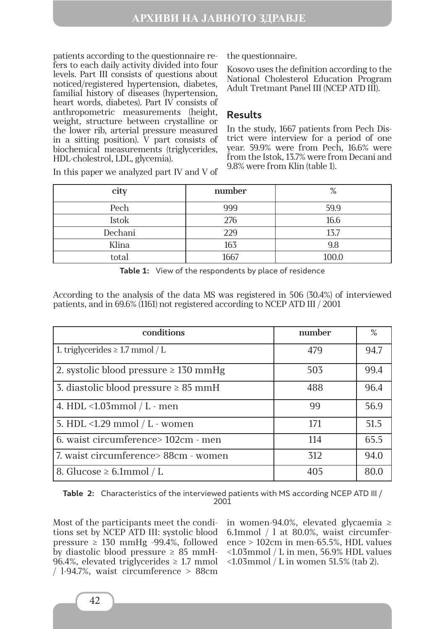patients according to the questionnaire refers to each daily activity divided into four levels. Part III consists of questions about noticed/registered hypertension, diabetes, familial history of diseases (hypertension, heart words, diabetes). Part IV consists of anthropometric measurements (height, weight, structure between crystalline or the lower rib, arterial pressure measured in a sitting position). V part consists of biochemical measurements (triglycerides, HDL-cholestrol, LDL, glycemia).

the questionnaire.

Kosovo uses the definition according to the National Cholesterol Education Program Adult Tretmant Panel III (NCEP ATD III).

# **Results**

In the study, 1667 patients from Pech District were interview for a period of one year. 59.9% were from Pech, 16.6% were from the Istok, 13.7% were from Decani and 9.8% were from Klin (table 1).

| city    | number | %     |
|---------|--------|-------|
| Pech    | 999    | 59.9  |
| Istok   | 276    | 16.6  |
| Dechani | 229    | 13.7  |
| Klina   | 163    | 9.8   |
| total   | 1667   | 100.0 |

In this paper we analyzed part IV and V of

**Table 1:** View of the respondents by place of residence

According to the analysis of the data MS was registered in 506 (30.4%) of interviewed patients, and in 69.6% (1161) not registered according to NCEP ATD III / 2001

| conditions                                 | number | $\%$ |
|--------------------------------------------|--------|------|
| 1. triglycerides $\geq 1.7$ mmol / L       | 479    | 94.7 |
| 2. systolic blood pressure $\geq 130$ mmHg | 503    | 99.4 |
| 3. diastolic blood pressure $\geq 85$ mmH  | 488    | 96.4 |
| 4. HDL < $1.03$ mmol / L - men             | 99     | 56.9 |
| 5. HDL <1.29 mmol $/L$ - women             | 171    | 51.5 |
| 6. waist circumference> 102cm - men        | 114    | 65.5 |
| 7. waist circumference> 88cm - women       | 312    | 94.0 |
| 8. Glucose $\geq 6.1$ mmol / L             | 405    | 80.0 |

**Table 2:** Characteristics of the interviewed patients with MS according NCEP ATD III / 2001

Most of the participants meet the conditions set by NCEP ATD III: systolic blood pressure  $\geq$  130 mmHg -99.4%, followed by diastolic blood pressure  $\geq 85$  mmH-96.4%, elevated triglycerides  $\geq$  1.7 mmol / l-94.7%, waist circumference > 88cm

in women-94.0%, elevated glycaemia ≥ 6.1mmol / l at 80.0%, waist circumference > 102cm in men-65.5%, HDL values <1.03mmol / L in men, 56.9% HDL values <1.03mmol / L in women 51.5% (tab 2).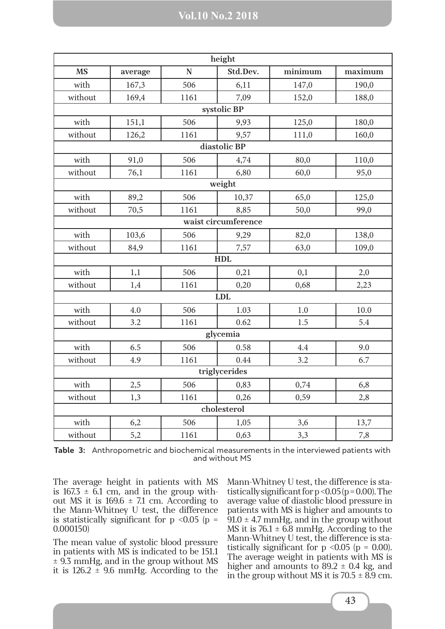| height      |               |           |                     |         |         |  |  |  |
|-------------|---------------|-----------|---------------------|---------|---------|--|--|--|
| <b>MS</b>   | average       | ${\bf N}$ | Std.Dev.            | minimum | maximum |  |  |  |
| with        | 167,3         | 506       | 6,11                | 147,0   | 190,0   |  |  |  |
| without     | 169,4         | 1161      | 7,09                | 152,0   | 188,0   |  |  |  |
|             | systolic BP   |           |                     |         |         |  |  |  |
| with        | 151,1         | 506       | 9,93                | 125,0   | 180,0   |  |  |  |
| without     | 126,2         | 1161      | 9,57                | 111,0   | 160,0   |  |  |  |
|             |               |           | diastolic BP        |         |         |  |  |  |
| with        | 91,0          | 506       | 4,74                | 80,0    | 110,0   |  |  |  |
| without     | 76,1          | 1161      | 6,80                | 60,0    | 95,0    |  |  |  |
|             |               |           | weight              |         |         |  |  |  |
| with        | 89,2          | 506       | 10,37               | 65,0    | 125,0   |  |  |  |
| without     | 70,5          | 1161      | 8,85                | 50,0    | 99,0    |  |  |  |
|             |               |           | waist circumference |         |         |  |  |  |
| with        | 103,6         | 506       | 9,29                | 82,0    | 138,0   |  |  |  |
| without     | 84,9          | 1161      | 7,57                | 63,0    | 109,0   |  |  |  |
|             |               |           | <b>HDL</b>          |         |         |  |  |  |
| with        | 1,1           | 506       | 0,21                | 0,1     | 2,0     |  |  |  |
| without     | 1,4           | 1161      | 0,20                | 0,68    | 2,23    |  |  |  |
|             |               |           | <b>LDL</b>          |         |         |  |  |  |
| with        | 4.0           | 506       | 1.03                | 1.0     | 10.0    |  |  |  |
| without     | 3.2           | 1161      | 0.62                | 1.5     | 5.4     |  |  |  |
|             | glycemia      |           |                     |         |         |  |  |  |
| with        | 6.5           | 506       | 0.58                | 4.4     | 9.0     |  |  |  |
| without     | 4.9           | 1161      | 0.44                | 3.2     | 6.7     |  |  |  |
|             | triglycerides |           |                     |         |         |  |  |  |
| with        | 2,5           | 506       | 0,83                | 0,74    | 6,8     |  |  |  |
| without     | 1,3           | 1161      | 0,26                | 0,59    | 2,8     |  |  |  |
| cholesterol |               |           |                     |         |         |  |  |  |
| with        | 6,2           | 506       | 1,05                | 3,6     | 13,7    |  |  |  |
| without     | 5,2           | 1161      | 0,63                | 3,3     | 7,8     |  |  |  |

**Table 3:** Anthropometric and biochemical measurements in the interviewed patients with and without MS

The average height in patients with MS is  $167.3 \pm 6.1$  cm, and in the group without MS it is  $169.6 \pm 7.1$  cm. According to the Mann-Whitney U test, the difference is statistically significant for  $p \leq 0.05$  ( $p =$ 0.000150)

The mean value of systolic blood pressure in patients with MS is indicated to be 151.1 ± 9.3 mmHg, and in the group without MS it is  $126.2 \pm 9.6$  mmHg. According to the Mann-Whitney U test, the difference is statistically significant for  $p < 0.05$  ( $p = 0.00$ ). The average value of diastolic blood pressure in patients with MS is higher and amounts to  $91.0 \pm 4.7$  mmHg, and in the group without MS it is  $76.1 \pm 6.8$  mmHg. According to the Mann-Whitney U test, the difference is statistically significant for  $p \le 0.05$  ( $p = 0.00$ ). The average weight in patients with MS is higher and amounts to  $89.2 \pm 0.4$  kg, and in the group without MS it is  $70.5 \pm 8.9$  cm.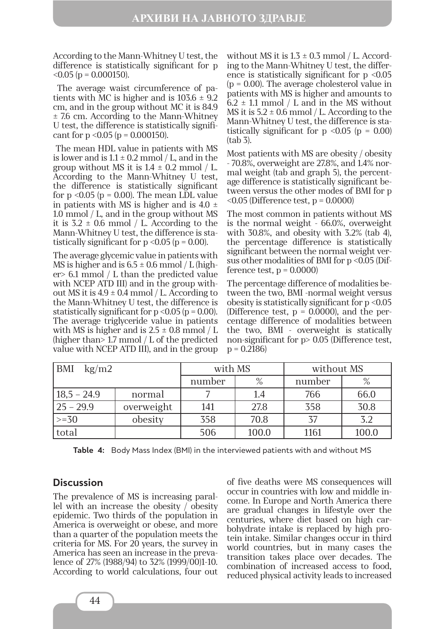According to the Mann-Whitney U test, the difference is statistically significant for p  $< 0.05$  (p = 0.000150).

 The average waist circumference of patients with MC is higher and is  $103.6 \pm 9.2$ cm, and in the group without MC it is 84.9 ± 7.6 cm. According to the Mann-Whitney U test, the difference is statistically significant for  $p \le 0.05$  ( $p = 0.000150$ ).

 The mean HDL value in patients with MS is lower and is  $1.1 \pm 0.2$  mmol / L, and in the group without MS it is  $1.4 \pm 0.2$  mmol / L. According to the Mann-Whitney U test, the difference is statistically significant for  $p \le 0.05$  ( $p = 0.00$ ). The mean LDL value in patients with MS is higher and is  $4.0 \pm$ 1.0 mmol / L, and in the group without MS it is  $3.2 \pm 0.6$  mmol / L. According to the Mann-Whitney U test, the difference is statistically significant for  $p \le 0.05$  ( $p = 0.00$ ).

The average glycemic value in patients with MS is higher and is  $6.5 \pm 0.6$  mmol / L (higher> 6.1 mmol / L than the predicted value with NCEP ATD III) and in the group without MS it is  $4.9 \pm 0.4$  mmol / L. According to the Mann-Whitney U test, the difference is statistically significant for  $p < 0.05$  ( $p = 0.00$ ). The average triglyceride value in patients with MS is higher and is  $2.5 \pm 0.8$  mmol / L (higher than> 1.7 mmol / L of the predicted value with NCEP ATD III), and in the group without MS it is  $1.3 \pm 0.3$  mmol / L. According to the Mann-Whitney U test, the difference is statistically significant for  $p < 0.05$ (p = 0.00). The average cholesterol value in patients with MS is higher and amounts to  $6.2 \pm 1.1$  mmol / L and in the MS without MS it is  $5.2 \pm 0.6$  mmol / L. According to the Mann-Whitney U test, the difference is statistically significant for  $p \le 0.05$  ( $p = 0.00$ ) (tab 3).

Most patients with MS are obesity / obesity - 70.8%, overweight are 27.8%, and 1.4% normal weight (tab and graph 5), the percentage difference is statistically significant between versus the other modes of BMI for p  $\leq$ 0.05 (Difference test, p = 0.0000)

The most common in patients without MS is the normal weight - 66.0%, overweight with 30.8%, and obesity with 3.2% (tab 4), the percentage difference is statistically significant between the normal weight versus other modalities of BMI for p <0.05 (Difference test,  $p = 0.0000$ 

The percentage difference of modalities between the two, BMI -normal weight versus obesity is statistically significant for p <0.05 (Difference test,  $p = 0.0000$ ), and the percentage difference of modalities between the two, BMI - overweight is statically non-significant for p> 0.05 (Difference test,  $p = 0.2186$ 

| <b>BMI</b><br>$\text{kg}/\text{m}$ 2 |            | with MS |       | without MS |       |
|--------------------------------------|------------|---------|-------|------------|-------|
|                                      |            | number  | $\%$  | number     |       |
| $18,5 - 24.9$                        | normal     |         |       | 766        | 66.0  |
| $25 - 29.9$                          | overweight | 141     | 27.8  | 358        | 30.8  |
| $\ge$ = 30                           | obesity    | 358     | 70.8  |            | 3.2   |
| total                                |            | 506     | 100.0 | 1161       | 100.0 |

**Table 4:** Body Mass Index (BMI) in the interviewed patients with and without MS

# **Discussion**

The prevalence of MS is increasing parallel with an increase the obesity  $\sqrt{\ }$  obesity epidemic. Two thirds of the population in America is overweight or obese, and more than a quarter of the population meets the criteria for MS. For 20 years, the survey in America has seen an increase in the prevalence of 27% (1988/94) to 32% (1999/00)1-10. According to world calculations, four out of five deaths were MS consequences will occur in countries with low and middle income. In Europe and North America there are gradual changes in lifestyle over the centuries, where diet based on high carbohydrate intake is replaced by high protein intake. Similar changes occur in third world countries, but in many cases the transition takes place over decades. The combination of increased access to food, reduced physical activity leads to increased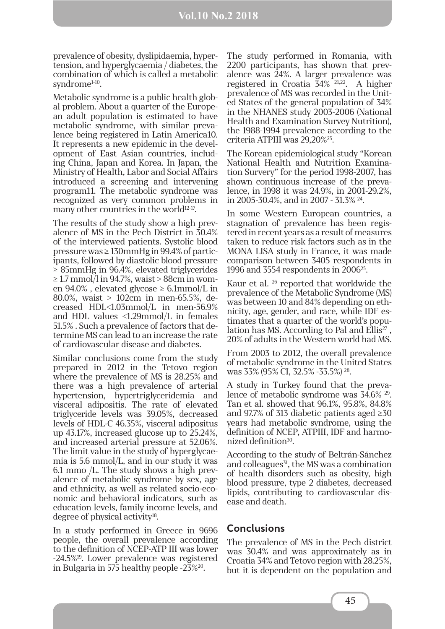prevalence of obesity, dyslipidaemia, hypertension, and hyperglycaemia / diabetes, the combination of which is called a metabolic syndrome<sup>1-10</sup>.

Metabolic syndrome is a public health global problem. About a quarter of the European adult population is estimated to have metabolic syndrome, with similar prevalence being registered in Latin America10. It represents a new epidemic in the development of East Asian countries, including China, Japan and Korea. In Japan, the Ministry of Health, Labor and Social Affairs introduced a screening and intervening program11. The metabolic syndrome was recognized as very common problems in many other countries in the world $12-17$ .

The results of the study show a high prevalence of MS in the Pech District in 30.4% of the interviewed patients. Systolic blood pressure was ≥ 130mmHg in 99.4% of participants, followed by diastolic blood pressure ≥ 85mmHg in 96.4%, elevated triglycerides  $\geq$  1.7 mmol/l in 94.7%, waist > 88cm in women 94.0%, elevated glycose  $\geq 6.1$ mmol/L in 80.0%, waist > 102cm in men-65.5%, decreased HDL<1.03mmol/L in men-56.9% and HDL values <1.29mmol/L in females 51.5% . Such a prevalence of factors that determine MS can lead to an increase the rate of cardiovascular disease and diabetes.

Similar conclusions come from the study prepared in 2012 in the Tetovo region where the prevalence of MS is 28.25% and there was a high prevalence of arterial hypertension, hypertriglyceridemia and visceral adipositis. The rate of elevated triglyceride levels was 39.05%, decreased levels of HDL-C 46.35%, visceral adipositus up 43.17%, increased glucose up to 25.24%, and increased arterial pressure at 52.06%. The limit value in the study of hyperglycaemia is 5.6 mmol/L, and in our study it was 6.1 mmo /L. The study shows a high prevalence of metabolic syndrome by sex, age and ethnicity, as well as related socio-economic and behavioral indicators, such as education levels, family income levels, and degree of physical activity<sup>18</sup>.

In a study performed in Greece in 9696 people, the overall prevalence according to the definition of NCEP-ATP III was lower -24.5%19. Lower prevalence was registered in Bulgaria in 575 healthy people -23%20.

The study performed in Romania, with 2200 participants, has shown that prevalence was 24%. A larger prevalence was registered in Croatia 34% 21,22. A higher prevalence of MS was recorded in the United States of the general population of 34% in the NHANES study 2003-2006 (National Health and Examination Survey Nutrition), the 1988-1994 prevalence according to the criteria ATPIII was 29,20%23.

The Korean epidemiological study "Korean National Health and Nutrition Examination Survery" for the period 1998-2007, has shown continuous increase of the prevalence, in 1998 it was 24.9%, in 2001-29.2%, in 2005-30.4%, and in 2007 - 31.3% 24.

In some Western European countries, a stagnation of prevalence has been registered in recent years as a result of measures taken to reduce risk factors such as in the MONA LISA study in France, it was made comparison between 3405 respondents in 1996 and 3554 respondents in 200625.

Kaur et al. 26 reported that worldwide the prevalence of the Metabolic Syndrome (MS) was between 10 and 84% depending on ethnicity, age, gender, and race, while IDF estimates that a quarter of the world's population has MS. According to Pal and Ellis<sup>27</sup>, 20% of adults in the Western world had MS.

From 2003 to 2012, the overall prevalence of metabolic syndrome in the United States was 33% (95% CI, 32.5% -33.5%) 28.

A study in Turkey found that the prevalence of metabolic syndrome was 34.6% 29. Tan et al. showed that 96.1%, 95.8%, 84.8% and 97.7% of 313 diabetic patients aged ≥30 years had metabolic syndrome, using the definition of NCEP, ATPIII, IDF and harmonized definition<sup>30</sup>.

According to the study of Beltrán-Sánchez and colleagues<sup>31</sup>, the MS was a combination of health disorders such as obesity, high blood pressure, type 2 diabetes, decreased lipids, contributing to cardiovascular disease and death.

## **Conclusions**

The prevalence of MS in the Pech district was 30.4% and was approximately as in Croatia 34% and Tetovo region with 28.25%, but it is dependent on the population and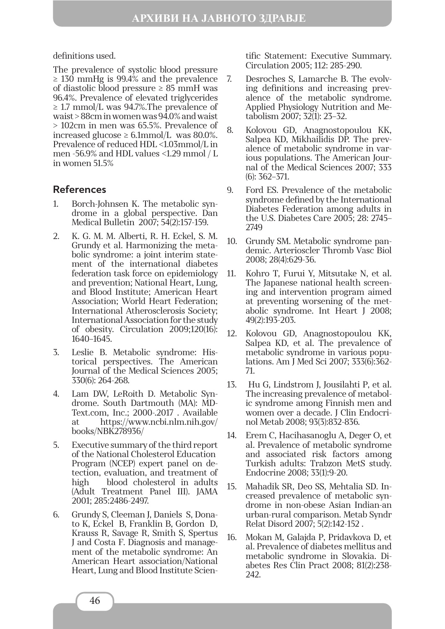definitions used.

The prevalence of systolic blood pressure  $\geq$  130 mmHg is 99.4% and the prevalence of diastolic blood pressure  $\geq 85$  mmH was 96.4%. Prevalence of elevated triglycerides  $\geq$  1.7 mmol/L was 94.7%. The prevalence of waist > 88cm in women was 94.0% and waist > 102cm in men was 65.5%. Prevalence of increased glucose  $\geq 6.1$ mmol/L was 80.0%. Prevalence of reduced HDL <1.03mmol/L in men -56.9% and HDL values <1.29 mmol / L in women 51.5%

## **References**

- 1. Borch-Johnsen K. The metabolic syndrome in a global perspective. Dan Medical Bulletin 2007; 54(2):157-159.
- 2. K. G. M. M. Alberti, R. H. Eckel, S. M. Grundy et al. Harmonizing the metabolic syndrome: a joint interim statement of the international diabetes federation task force on epidemiology and prevention; National Heart, Lung, and Blood Institute; American Heart Association; World Heart Federation; International Atherosclerosis Society; International Association for the study of obesity. Circulation 2009;120(16): 1640–1645.
- 3. Leslie B. Metabolic syndrome: Historical perspectives. The American Journal of the Medical Sciences 2005; 330(6): 264-268.
- 4. Lam DW, LeRoith D. Metabolic Syndrome. South Dartmouth (MA): MD-Text.com, Inc.; 2000-.2017 . Available at https://www.ncbi.nlm.nih.gov/ books/NBK278936/
- 5. Executive summary of the third report of the National Cholesterol Education Program (NCEP) expert panel on detection, evaluation, and treatment of high blood cholesterol in adults (Adult Treatment Panel III). JAMA 2001; 285:2486-2497.
- 6. Grundy S, Cleeman J, Daniels S, Donato K, Eckel B, Franklin B, Gordon D, Krauss R, Savage R, Smith S, Spertus J and Costa F. Diagnosis and management of the metabolic syndrome: An American Heart association/National Heart, Lung and Blood Institute Scien-

tific Statement: Executive Summary. Circulation 2005; 112: 285-290.

- 7. Desroches S, Lamarche B. The evolving definitions and increasing prevalence of the metabolic syndrome. Applied Physiology Nutrition and Metabolism 2007; 32(1): 23–32.
- 8. Kolovou GD, Anagnostopoulou KK, Salpea KD, Mikhailidis DP. The prevalence of metabolic syndrome in various populations. The American Journal of the Medical Sciences 2007; 333 (6): 362–371.
- 9. Ford ES. Prevalence of the metabolic syndrome defined by the International Diabetes Federation among adults in the U.S. Diabetes Care 2005; 28: 2745– 2749
- 10. Grundy SM. Metabolic syndrome pandemic. Arterioscler Thromb Vasc Biol 2008; 28(4):629-36.
- 11. Kohro T, Furui Y, Mitsutake N, et al. The Japanese national health screening and intervention program aimed at preventing worsening of the metabolic syndrome. Int Heart J 2008; 49(2):193-203.
- 12. Kolovou GD, Anagnostopoulou KK, Salpea KD, et al. The prevalence of metabolic syndrome in various populations. Am J Med Sci 2007; 333(6):362- 71.
- 13. Hu G, Lindstrom J, Jousilahti P, et al. The increasing prevalence of metabolic syndrome among Finnish men and women over a decade. J Clin Endocrinol Metab 2008; 93(3):832-836.
- 14. Erem C, Hacihasanoglu A, Deger O, et al. Prevalence of metabolic syndrome and associated risk factors among Turkish adults: Trabzon MetS study. Endocrine 2008; 33(1):9-20.
- 15. Mahadik SR, Deo SS, Mehtalia SD. Increased prevalence of metabolic syndrome in non-obese Asian Indian-an urban-rural comparison. Metab Syndr Relat Disord 2007; 5(2):142-152 .
- 16. Mokan M, Galajda P, Pridavkova D, et al. Prevalence of diabetes mellitus and metabolic syndrome in Slovakia. Diabetes Res Clin Pract 2008; 81(2):238- 242.